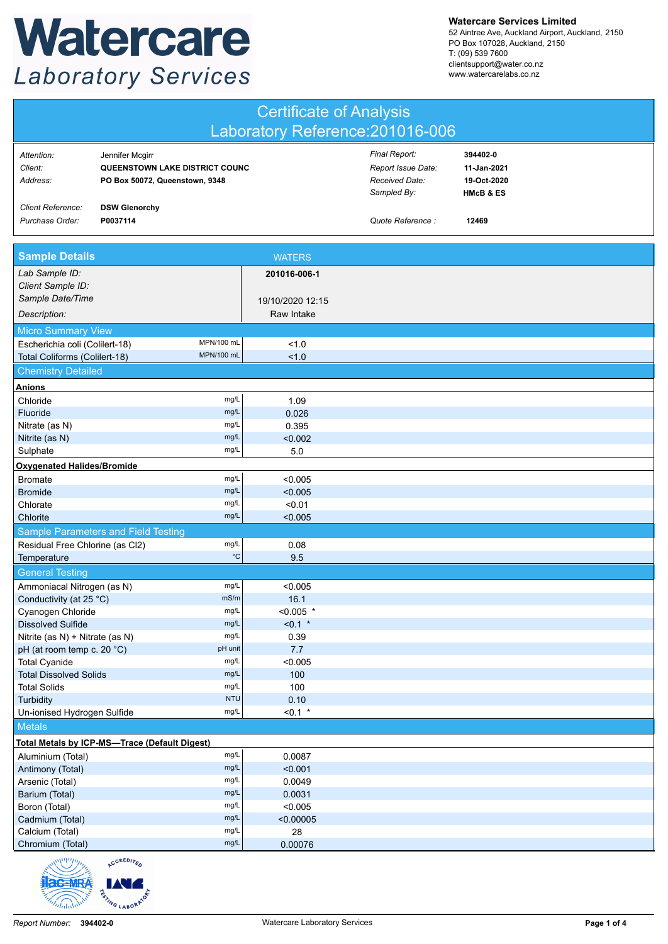## Watercare **Laboratory Services**

**Watercare Services Limited**

52 Aintree Ave, Auckland Airport, Auckland, 2150 PO Box 107028, Auckland, 2150 T: (09) 539 7600 clientsupport@water.co.nz www.watercarelabs.co.nz

| <b>Certificate of Analysis</b>                              |                                                                                     |                                |                                                                      |                                                                |  |  |  |
|-------------------------------------------------------------|-------------------------------------------------------------------------------------|--------------------------------|----------------------------------------------------------------------|----------------------------------------------------------------|--|--|--|
| Laboratory Reference: 201016-006                            |                                                                                     |                                |                                                                      |                                                                |  |  |  |
| Attention:<br>Client:<br>Address:                           | Jennifer Mcgirr<br>QUEENSTOWN LAKE DISTRICT COUNC<br>PO Box 50072, Queenstown, 9348 |                                | Final Report:<br>Report Issue Date:<br>Received Date:<br>Sampled By: | 394402-0<br>11-Jan-2021<br>19-Oct-2020<br><b>HMcB &amp; ES</b> |  |  |  |
| Client Reference:<br>Purchase Order:                        | <b>DSW Glenorchy</b><br>P0037114                                                    |                                | Quote Reference :                                                    | 12469                                                          |  |  |  |
| <b>Sample Details</b>                                       |                                                                                     | <b>WATERS</b>                  |                                                                      |                                                                |  |  |  |
| Lab Sample ID:<br>Client Sample ID:                         |                                                                                     | 201016-006-1                   |                                                                      |                                                                |  |  |  |
| Sample Date/Time<br>Description:                            |                                                                                     | 19/10/2020 12:15<br>Raw Intake |                                                                      |                                                                |  |  |  |
| <b>Micro Summary View</b><br>Escherichia coli (Colilert-18) | MPN/100 mL                                                                          | 1.0                            |                                                                      |                                                                |  |  |  |
| Total Coliforms (Colilert-18)                               | MPN/100 mL                                                                          | 1.0                            |                                                                      |                                                                |  |  |  |
| <b>Chemistry Detailed</b><br><b>Anions</b>                  |                                                                                     |                                |                                                                      |                                                                |  |  |  |
| Chloride                                                    | mg/L                                                                                | 1.09                           |                                                                      |                                                                |  |  |  |
| Fluoride                                                    | mg/L                                                                                | 0.026                          |                                                                      |                                                                |  |  |  |
| Nitrate (as N)                                              | mg/L                                                                                | 0.395                          |                                                                      |                                                                |  |  |  |
| Nitrite (as N)                                              | mg/L                                                                                | < 0.002                        |                                                                      |                                                                |  |  |  |
| Sulphate                                                    | mg/L                                                                                | 5.0                            |                                                                      |                                                                |  |  |  |
| <b>Oxygenated Halides/Bromide</b>                           |                                                                                     |                                |                                                                      |                                                                |  |  |  |
| <b>Bromate</b>                                              | mg/L                                                                                | < 0.005                        |                                                                      |                                                                |  |  |  |
| <b>Bromide</b>                                              | mg/L                                                                                | < 0.005                        |                                                                      |                                                                |  |  |  |
| Chlorate                                                    | mg/L                                                                                | < 0.01                         |                                                                      |                                                                |  |  |  |
| Chlorite                                                    | mg/L                                                                                | < 0.005                        |                                                                      |                                                                |  |  |  |
|                                                             | Sample Parameters and Field Testing                                                 |                                |                                                                      |                                                                |  |  |  |
| Residual Free Chlorine (as Cl2)                             | mg/L                                                                                | 0.08                           |                                                                      |                                                                |  |  |  |
| Temperature                                                 | $^{\circ}{\rm C}$                                                                   | 9.5                            |                                                                      |                                                                |  |  |  |
| <b>General Testing</b>                                      |                                                                                     |                                |                                                                      |                                                                |  |  |  |
| Ammoniacal Nitrogen (as N)                                  | mg/L                                                                                | < 0.005                        |                                                                      |                                                                |  |  |  |
| Conductivity (at 25 °C)                                     | mS/m                                                                                | 16.1                           |                                                                      |                                                                |  |  |  |
| Cyanogen Chloride                                           | mg/L<br>mg/L                                                                        | $< 0.005$ *                    |                                                                      |                                                                |  |  |  |
| <b>Dissolved Sulfide</b><br>Nitrite (as N) + Nitrate (as N) | mg/L                                                                                | $< 0.1$ *<br>0.39              |                                                                      |                                                                |  |  |  |
| pH (at room temp c. 20 °C)                                  | pH unit                                                                             | 7.7                            |                                                                      |                                                                |  |  |  |
| <b>Total Cyanide</b>                                        | mg/L                                                                                | < 0.005                        |                                                                      |                                                                |  |  |  |
| <b>Total Dissolved Solids</b>                               | mg/L                                                                                | 100                            |                                                                      |                                                                |  |  |  |
| <b>Total Solids</b>                                         | mg/L                                                                                | 100                            |                                                                      |                                                                |  |  |  |
| Turbidity                                                   | <b>NTU</b>                                                                          | 0.10                           |                                                                      |                                                                |  |  |  |
| Un-ionised Hydrogen Sulfide                                 | mg/L                                                                                | $< 0.1$ *                      |                                                                      |                                                                |  |  |  |
| <b>Metals</b>                                               |                                                                                     |                                |                                                                      |                                                                |  |  |  |
|                                                             | Total Metals by ICP-MS-Trace (Default Digest)                                       |                                |                                                                      |                                                                |  |  |  |
| Aluminium (Total)                                           | mg/L                                                                                | 0.0087                         |                                                                      |                                                                |  |  |  |
| Antimony (Total)                                            | mg/L                                                                                | < 0.001                        |                                                                      |                                                                |  |  |  |
| Arsenic (Total)                                             | mg/L                                                                                | 0.0049                         |                                                                      |                                                                |  |  |  |
| Barium (Total)                                              | mg/L                                                                                | 0.0031                         |                                                                      |                                                                |  |  |  |
| Boron (Total)                                               | mg/L                                                                                | < 0.005                        |                                                                      |                                                                |  |  |  |
| Cadmium (Total)                                             | mg/L<br>mg/L                                                                        | < 0.00005                      |                                                                      |                                                                |  |  |  |
| Calcium (Total)<br>Chromium (Total)                         | mg/L                                                                                | 28<br>0.00076                  |                                                                      |                                                                |  |  |  |
| welling                                                     | CRED12                                                                              |                                |                                                                      |                                                                |  |  |  |

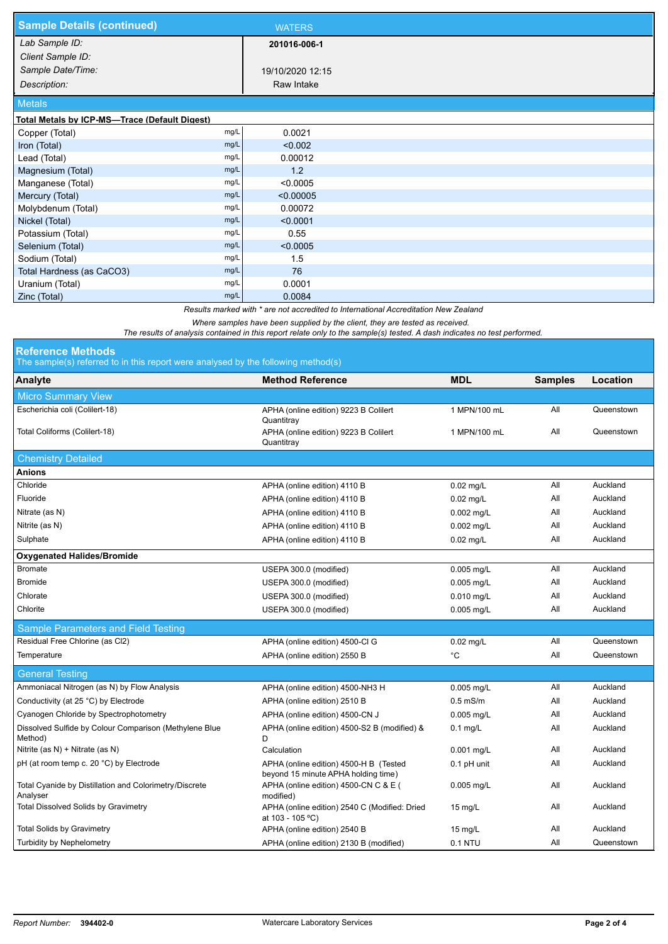| <b>Sample Details (continued)</b>             |      | <b>WATERS</b>    |  |
|-----------------------------------------------|------|------------------|--|
| Lab Sample ID:                                |      | 201016-006-1     |  |
| Client Sample ID:                             |      |                  |  |
| Sample Date/Time:                             |      | 19/10/2020 12:15 |  |
| Description:                                  |      | Raw Intake       |  |
| <b>Metals</b>                                 |      |                  |  |
| Total Metals by ICP-MS-Trace (Default Digest) |      |                  |  |
| Copper (Total)                                | mg/L | 0.0021           |  |
| Iron (Total)                                  | mg/L | < 0.002          |  |
| Lead (Total)                                  | mg/L | 0.00012          |  |
| Magnesium (Total)                             | mg/L | 1.2              |  |
| Manganese (Total)                             | mg/L | < 0.0005         |  |
| Mercury (Total)                               | mg/L | < 0.00005        |  |
| Molybdenum (Total)                            | mg/L | 0.00072          |  |
| Nickel (Total)                                | mg/L | < 0.0001         |  |
| Potassium (Total)                             | mg/L | 0.55             |  |
| Selenium (Total)                              | mg/L | < 0.0005         |  |
| Sodium (Total)                                | mg/L | 1.5              |  |
| Total Hardness (as CaCO3)                     | mg/L | 76               |  |
| Uranium (Total)                               | mg/L | 0.0001           |  |
| Zinc (Total)                                  | mg/L | 0.0084           |  |

*Results marked with \* are not accredited to International Accreditation New Zealand*

*Where samples have been supplied by the client, they are tested as received.* 

*The results of analysis contained in this report relate only to the sample(s) tested. A dash indicates no test performed.*

| <b>Reference Methods</b> |  |  |  |  |  |
|--------------------------|--|--|--|--|--|
|                          |  |  |  |  |  |

d by the following meth

| Analyte                                                            | <b>Method Reference</b>                                                       | <b>MDL</b>        | <b>Samples</b> | Location   |  |  |  |  |  |
|--------------------------------------------------------------------|-------------------------------------------------------------------------------|-------------------|----------------|------------|--|--|--|--|--|
| <b>Micro Summary View</b>                                          |                                                                               |                   |                |            |  |  |  |  |  |
| Escherichia coli (Colilert-18)                                     | APHA (online edition) 9223 B Colilert<br>Quantitray                           | 1 MPN/100 mL      | All            | Queenstown |  |  |  |  |  |
| Total Coliforms (Colilert-18)                                      | APHA (online edition) 9223 B Colilert<br>Quantitray                           | 1 MPN/100 mL      | All            | Queenstown |  |  |  |  |  |
| <b>Chemistry Detailed</b>                                          |                                                                               |                   |                |            |  |  |  |  |  |
| Anions                                                             |                                                                               |                   |                |            |  |  |  |  |  |
| Chloride                                                           | APHA (online edition) 4110 B                                                  | $0.02$ mg/L       | All            | Auckland   |  |  |  |  |  |
| Fluoride                                                           | APHA (online edition) 4110 B                                                  | $0.02$ mg/L       | All            | Auckland   |  |  |  |  |  |
| Nitrate (as N)                                                     | APHA (online edition) 4110 B                                                  | 0.002 mg/L        | All            | Auckland   |  |  |  |  |  |
| Nitrite (as N)                                                     | APHA (online edition) 4110 B                                                  | 0.002 mg/L        | All            | Auckland   |  |  |  |  |  |
| Sulphate                                                           | APHA (online edition) 4110 B                                                  | $0.02$ mg/L       | All            | Auckland   |  |  |  |  |  |
| <b>Oxygenated Halides/Bromide</b>                                  |                                                                               |                   |                |            |  |  |  |  |  |
| <b>Bromate</b>                                                     | USEPA 300.0 (modified)                                                        | 0.005 mg/L        | All            | Auckland   |  |  |  |  |  |
| <b>Bromide</b>                                                     | USEPA 300.0 (modified)                                                        | 0.005 mg/L        | All            | Auckland   |  |  |  |  |  |
| Chlorate                                                           | USEPA 300.0 (modified)                                                        | 0.010 mg/L        | All            | Auckland   |  |  |  |  |  |
| Chlorite                                                           | USEPA 300.0 (modified)                                                        | 0.005 mg/L        | All            | Auckland   |  |  |  |  |  |
| Sample Parameters and Field Testing                                |                                                                               |                   |                |            |  |  |  |  |  |
| Residual Free Chlorine (as Cl2)                                    | APHA (online edition) 4500-Cl G                                               | $0.02$ mg/L       | All            | Queenstown |  |  |  |  |  |
| Temperature                                                        | APHA (online edition) 2550 B                                                  | °C                | All            | Queenstown |  |  |  |  |  |
| <b>General Testing</b>                                             |                                                                               |                   |                |            |  |  |  |  |  |
| Ammoniacal Nitrogen (as N) by Flow Analysis                        | APHA (online edition) 4500-NH3 H                                              | 0.005 mg/L        | All            | Auckland   |  |  |  |  |  |
| Conductivity (at 25 °C) by Electrode                               | APHA (online edition) 2510 B                                                  | $0.5$ mS/m        | All            | Auckland   |  |  |  |  |  |
| Cyanogen Chloride by Spectrophotometry                             | APHA (online edition) 4500-CN J                                               | 0.005 mg/L        | All            | Auckland   |  |  |  |  |  |
| Dissolved Sulfide by Colour Comparison (Methylene Blue<br>Method)  | APHA (online edition) 4500-S2 B (modified) &<br>D                             | $0.1$ mg/L        | All            | Auckland   |  |  |  |  |  |
| Nitrite (as N) + Nitrate (as N)                                    | Calculation                                                                   | 0.001 mg/L        | All            | Auckland   |  |  |  |  |  |
| pH (at room temp c. 20 °C) by Electrode                            | APHA (online edition) 4500-H B (Tested<br>beyond 15 minute APHA holding time) | $0.1$ pH unit     | All            | Auckland   |  |  |  |  |  |
| Total Cyanide by Distillation and Colorimetry/Discrete<br>Analyser | APHA (online edition) 4500-CN C & E (<br>modified)                            | 0.005 mg/L        | All            | Auckland   |  |  |  |  |  |
| Total Dissolved Solids by Gravimetry                               | APHA (online edition) 2540 C (Modified: Dried<br>at 103 - 105 °C)             | $15 \text{ mg/L}$ | All            | Auckland   |  |  |  |  |  |
| <b>Total Solids by Gravimetry</b>                                  | APHA (online edition) 2540 B                                                  | $15 \text{ mg/L}$ | All            | Auckland   |  |  |  |  |  |
| <b>Turbidity by Nephelometry</b>                                   | APHA (online edition) 2130 B (modified)                                       | 0.1 NTU           | All            | Queenstown |  |  |  |  |  |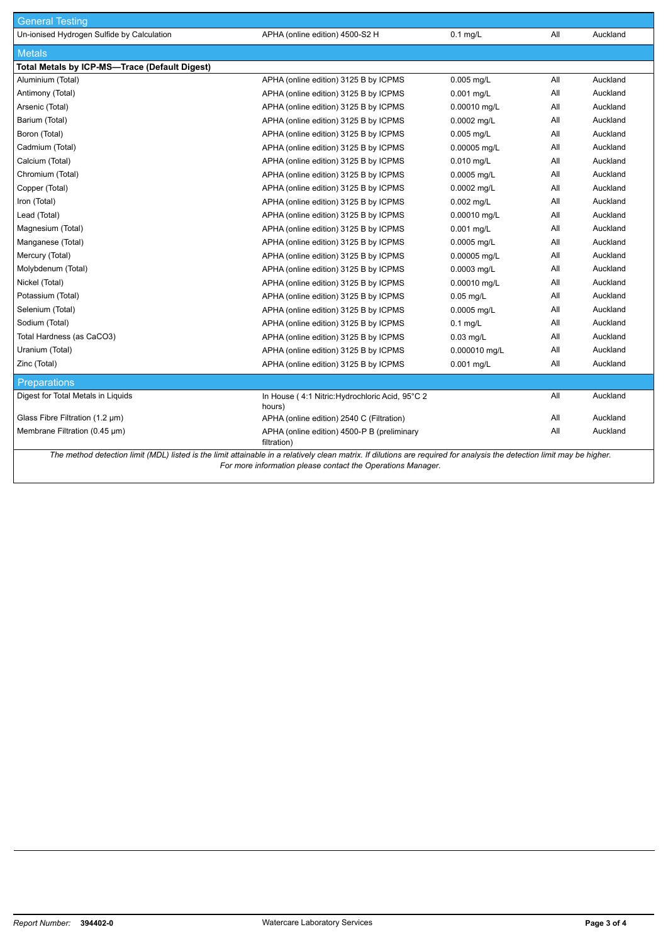| <b>General Testing</b>                                                                                                                                                  |                                                            |               |     |          |  |  |
|-------------------------------------------------------------------------------------------------------------------------------------------------------------------------|------------------------------------------------------------|---------------|-----|----------|--|--|
| Un-ionised Hydrogen Sulfide by Calculation                                                                                                                              | APHA (online edition) 4500-S2 H                            | $0.1$ mg/L    | aii | Auckland |  |  |
| <b>Metals</b>                                                                                                                                                           |                                                            |               |     |          |  |  |
| Total Metals by ICP-MS-Trace (Default Digest)                                                                                                                           |                                                            |               |     |          |  |  |
| Aluminium (Total)                                                                                                                                                       | APHA (online edition) 3125 B by ICPMS                      | 0.005 mg/L    | All | Auckland |  |  |
| Antimony (Total)                                                                                                                                                        | APHA (online edition) 3125 B by ICPMS                      | 0.001 mg/L    | aii | Auckland |  |  |
| Arsenic (Total)                                                                                                                                                         | APHA (online edition) 3125 B by ICPMS                      | 0.00010 mg/L  | All | Auckland |  |  |
| Barium (Total)                                                                                                                                                          | APHA (online edition) 3125 B by ICPMS                      | 0.0002 mg/L   | All | Auckland |  |  |
| Boron (Total)                                                                                                                                                           | APHA (online edition) 3125 B by ICPMS                      | $0.005$ mg/L  | aii | Auckland |  |  |
| Cadmium (Total)                                                                                                                                                         | APHA (online edition) 3125 B by ICPMS                      | 0.00005 mg/L  | aii | Auckland |  |  |
| Calcium (Total)                                                                                                                                                         | APHA (online edition) 3125 B by ICPMS                      | 0.010 mg/L    | All | Auckland |  |  |
| Chromium (Total)                                                                                                                                                        | APHA (online edition) 3125 B by ICPMS                      | 0.0005 mg/L   | All | Auckland |  |  |
| Copper (Total)                                                                                                                                                          | APHA (online edition) 3125 B by ICPMS                      | 0.0002 mg/L   | aii | Auckland |  |  |
| Iron (Total)                                                                                                                                                            | APHA (online edition) 3125 B by ICPMS                      | $0.002$ mg/L  | All | Auckland |  |  |
| Lead (Total)                                                                                                                                                            | APHA (online edition) 3125 B by ICPMS                      | 0.00010 mg/L  | All | Auckland |  |  |
| Magnesium (Total)                                                                                                                                                       | APHA (online edition) 3125 B by ICPMS                      | 0.001 mg/L    | All | Auckland |  |  |
| Manganese (Total)                                                                                                                                                       | APHA (online edition) 3125 B by ICPMS                      | 0.0005 mg/L   | aii | Auckland |  |  |
| Mercury (Total)                                                                                                                                                         | APHA (online edition) 3125 B by ICPMS                      | 0.00005 mg/L  | All | Auckland |  |  |
| Molybdenum (Total)                                                                                                                                                      | APHA (online edition) 3125 B by ICPMS                      | 0.0003 mq/L   | All | Auckland |  |  |
| Nickel (Total)                                                                                                                                                          | APHA (online edition) 3125 B by ICPMS                      | 0.00010 mg/L  | All | Auckland |  |  |
| Potassium (Total)                                                                                                                                                       | APHA (online edition) 3125 B by ICPMS                      | $0.05$ mg/L   | aii | Auckland |  |  |
| Selenium (Total)                                                                                                                                                        | APHA (online edition) 3125 B by ICPMS                      | 0.0005 mg/L   | aii | Auckland |  |  |
| Sodium (Total)                                                                                                                                                          | APHA (online edition) 3125 B by ICPMS                      | $0.1$ mg/L    | All | Auckland |  |  |
| Total Hardness (as CaCO3)                                                                                                                                               | APHA (online edition) 3125 B by ICPMS                      | $0.03$ mg/L   | All | Auckland |  |  |
| Uranium (Total)                                                                                                                                                         | APHA (online edition) 3125 B by ICPMS                      | 0.000010 mg/L | All | Auckland |  |  |
| Zinc (Total)                                                                                                                                                            | APHA (online edition) 3125 B by ICPMS                      | 0.001 mg/L    | aii | Auckland |  |  |
| <b>Preparations</b>                                                                                                                                                     |                                                            |               |     |          |  |  |
| Digest for Total Metals in Liquids                                                                                                                                      | In House (4:1 Nitric: Hydrochloric Acid, 95°C 2<br>hours)  |               | All | Auckland |  |  |
| Glass Fibre Filtration (1.2 µm)                                                                                                                                         | APHA (online edition) 2540 C (Filtration)                  |               | aii | Auckland |  |  |
| Membrane Filtration (0.45 µm)                                                                                                                                           | APHA (online edition) 4500-P B (preliminary<br>filtration) |               | All | Auckland |  |  |
| The method detection limit (MDL) listed is the limit attainable in a relatively clean matrix. If dilutions are required for analysis the detection limit may be higher. |                                                            |               |     |          |  |  |

*For more information please contact the Operations Manager.*